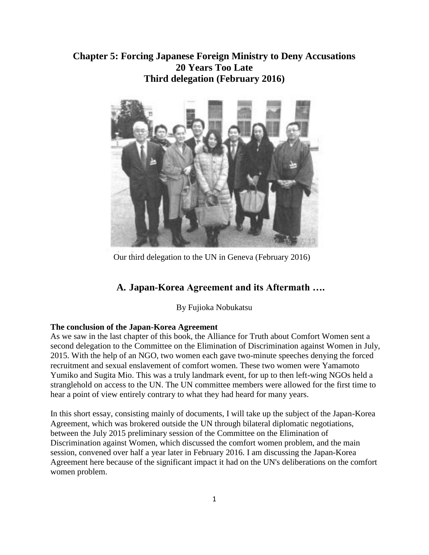# **Chapter 5: Forcing Japanese Foreign Ministry to Deny Accusations 20 Years Too Late Third delegation (February 2016)**



Our third delegation to the UN in Geneva (February 2016)

## **A. Japan-Korea Agreement and its Aftermath ….**

By Fujioka Nobukatsu

## **The conclusion of the Japan-Korea Agreement**

As we saw in the last chapter of this book, the Alliance for Truth about Comfort Women sent a second delegation to the Committee on the Elimination of Discrimination against Women in July, 2015. With the help of an NGO, two women each gave two-minute speeches denying the forced recruitment and sexual enslavement of comfort women. These two women were Yamamoto Yumiko and Sugita Mio. This was a truly landmark event, for up to then left-wing NGOs held a stranglehold on access to the UN. The UN committee members were allowed for the first time to hear a point of view entirely contrary to what they had heard for many years.

In this short essay, consisting mainly of documents, I will take up the subject of the Japan-Korea Agreement, which was brokered outside the UN through bilateral diplomatic negotiations, between the July 2015 preliminary session of the Committee on the Elimination of Discrimination against Women, which discussed the comfort women problem, and the main session, convened over half a year later in February 2016. I am discussing the Japan-Korea Agreement here because of the significant impact it had on the UN's deliberations on the comfort women problem.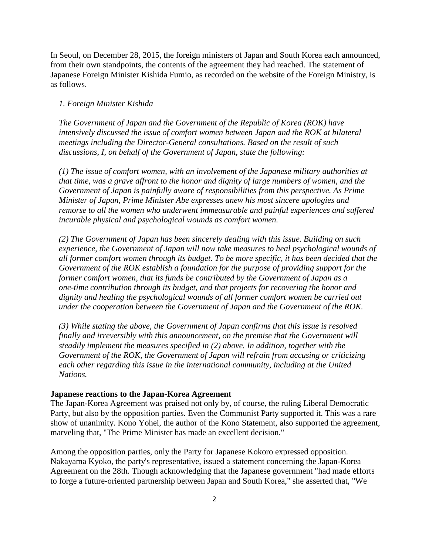In Seoul, on December 28, 2015, the foreign ministers of Japan and South Korea each announced, from their own standpoints, the contents of the agreement they had reached. The statement of Japanese Foreign Minister Kishida Fumio, as recorded on the website of the Foreign Ministry, is as follows.

## *1. Foreign Minister Kishida*

*The Government of Japan and the Government of the Republic of Korea (ROK) have intensively discussed the issue of comfort women between Japan and the ROK at bilateral meetings including the Director-General consultations. Based on the result of such discussions, I, on behalf of the Government of Japan, state the following:*

*(1) The issue of comfort women, with an involvement of the Japanese military authorities at that time, was a grave affront to the honor and dignity of large numbers of women, and the Government of Japan is painfully aware of responsibilities from this perspective. As Prime Minister of Japan, Prime Minister Abe expresses anew his most sincere apologies and remorse to all the women who underwent immeasurable and painful experiences and suffered incurable physical and psychological wounds as comfort women.*

*(2) The Government of Japan has been sincerely dealing with this issue. Building on such experience, the Government of Japan will now take measures to heal psychological wounds of all former comfort women through its budget. To be more specific, it has been decided that the Government of the ROK establish a foundation for the purpose of providing support for the former comfort women, that its funds be contributed by the Government of Japan as a one-time contribution through its budget, and that projects for recovering the honor and dignity and healing the psychological wounds of all former comfort women be carried out under the cooperation between the Government of Japan and the Government of the ROK.*

*(3) While stating the above, the Government of Japan confirms that this issue is resolved finally and irreversibly with this announcement, on the premise that the Government will steadily implement the measures specified in (2) above. In addition, together with the Government of the ROK, the Government of Japan will refrain from accusing or criticizing each other regarding this issue in the international community, including at the United Nations.*

### **Japanese reactions to the Japan-Korea Agreement**

The Japan-Korea Agreement was praised not only by, of course, the ruling Liberal Democratic Party, but also by the opposition parties. Even the Communist Party supported it. This was a rare show of unanimity. Kono Yohei, the author of the Kono Statement, also supported the agreement, marveling that, "The Prime Minister has made an excellent decision."

Among the opposition parties, only the Party for Japanese Kokoro expressed opposition. Nakayama Kyoko, the party's representative, issued a statement concerning the Japan-Korea Agreement on the 28th. Though acknowledging that the Japanese government "had made efforts to forge a future-oriented partnership between Japan and South Korea," she asserted that, "We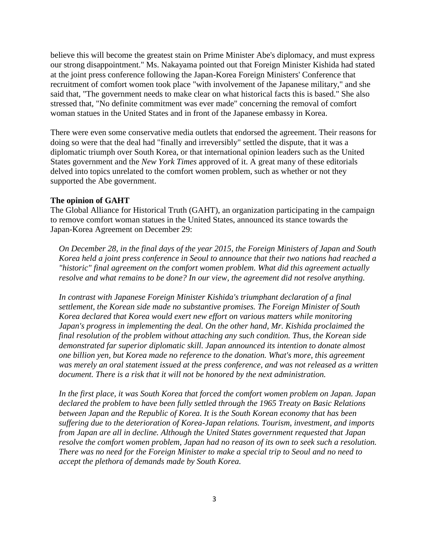believe this will become the greatest stain on Prime Minister Abe's diplomacy, and must express our strong disappointment." Ms. Nakayama pointed out that Foreign Minister Kishida had stated at the joint press conference following the Japan-Korea Foreign Ministers' Conference that recruitment of comfort women took place "with involvement of the Japanese military," and she said that, "The government needs to make clear on what historical facts this is based." She also stressed that, "No definite commitment was ever made" concerning the removal of comfort woman statues in the United States and in front of the Japanese embassy in Korea.

There were even some conservative media outlets that endorsed the agreement. Their reasons for doing so were that the deal had "finally and irreversibly" settled the dispute, that it was a diplomatic triumph over South Korea, or that international opinion leaders such as the United States government and the *New York Times* approved of it. A great many of these editorials delved into topics unrelated to the comfort women problem, such as whether or not they supported the Abe government.

#### **The opinion of GAHT**

The Global Alliance for Historical Truth (GAHT), an organization participating in the campaign to remove comfort woman statues in the United States, announced its stance towards the Japan-Korea Agreement on December 29:

*On December 28, in the final days of the year 2015, the Foreign Ministers of Japan and South Korea held a joint press conference in Seoul to announce that their two nations had reached a "historic" final agreement on the comfort women problem. What did this agreement actually resolve and what remains to be done? In our view, the agreement did not resolve anything.*

*In contrast with Japanese Foreign Minister Kishida's triumphant declaration of a final settlement, the Korean side made no substantive promises. The Foreign Minister of South Korea declared that Korea would exert new effort on various matters while monitoring Japan's progress in implementing the deal. On the other hand, Mr. Kishida proclaimed the final resolution of the problem without attaching any such condition. Thus, the Korean side demonstrated far superior diplomatic skill. Japan announced its intention to donate almost one billion yen, but Korea made no reference to the donation. What's more, this agreement was merely an oral statement issued at the press conference, and was not released as a written document. There is a risk that it will not be honored by the next administration.*

*In the first place, it was South Korea that forced the comfort women problem on Japan. Japan declared the problem to have been fully settled through the 1965 Treaty on Basic Relations between Japan and the Republic of Korea. It is the South Korean economy that has been suffering due to the deterioration of Korea-Japan relations. Tourism, investment, and imports from Japan are all in decline. Although the United States government requested that Japan resolve the comfort women problem, Japan had no reason of its own to seek such a resolution. There was no need for the Foreign Minister to make a special trip to Seoul and no need to accept the plethora of demands made by South Korea.*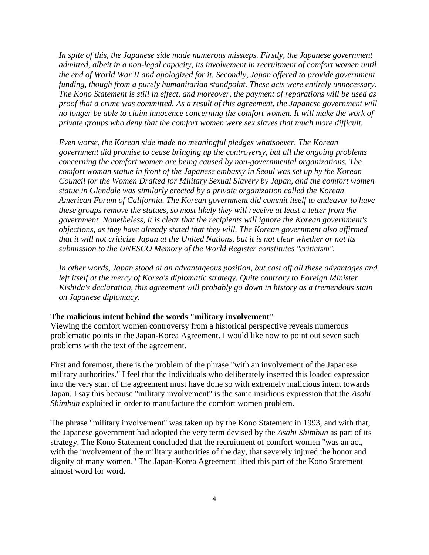*In spite of this, the Japanese side made numerous missteps. Firstly, the Japanese government admitted, albeit in a non-legal capacity, its involvement in recruitment of comfort women until the end of World War II and apologized for it. Secondly, Japan offered to provide government funding, though from a purely humanitarian standpoint. These acts were entirely unnecessary. The Kono Statement is still in effect, and moreover, the payment of reparations will be used as proof that a crime was committed. As a result of this agreement, the Japanese government will*  no longer be able to claim innocence concerning the comfort women. It will make the work of *private groups who deny that the comfort women were sex slaves that much more difficult.*

*Even worse, the Korean side made no meaningful pledges whatsoever. The Korean government did promise to cease bringing up the controversy, but all the ongoing problems concerning the comfort women are being caused by non-governmental organizations. The comfort woman statue in front of the Japanese embassy in Seoul was set up by the Korean Council for the Women Drafted for Military Sexual Slavery by Japan, and the comfort women statue in Glendale was similarly erected by a private organization called the Korean American Forum of California. The Korean government did commit itself to endeavor to have these groups remove the statues, so most likely they will receive at least a letter from the government. Nonetheless, it is clear that the recipients will ignore the Korean government's objections, as they have already stated that they will. The Korean government also affirmed that it will not criticize Japan at the United Nations, but it is not clear whether or not its submission to the UNESCO Memory of the World Register constitutes "criticism".*

*In other words, Japan stood at an advantageous position, but cast off all these advantages and left itself at the mercy of Korea's diplomatic strategy. Quite contrary to Foreign Minister Kishida's declaration, this agreement will probably go down in history as a tremendous stain on Japanese diplomacy.* 

### **The malicious intent behind the words "military involvement"**

Viewing the comfort women controversy from a historical perspective reveals numerous problematic points in the Japan-Korea Agreement. I would like now to point out seven such problems with the text of the agreement.

First and foremost, there is the problem of the phrase "with an involvement of the Japanese military authorities." I feel that the individuals who deliberately inserted this loaded expression into the very start of the agreement must have done so with extremely malicious intent towards Japan. I say this because "military involvement" is the same insidious expression that the *Asahi Shimbun* exploited in order to manufacture the comfort women problem.

The phrase "military involvement" was taken up by the Kono Statement in 1993, and with that, the Japanese government had adopted the very term devised by the *Asahi Shimbun* as part of its strategy. The Kono Statement concluded that the recruitment of comfort women "was an act, with the involvement of the military authorities of the day, that severely injured the honor and dignity of many women." The Japan-Korea Agreement lifted this part of the Kono Statement almost word for word.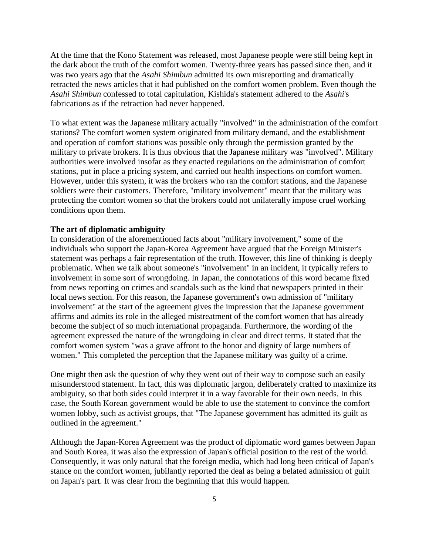At the time that the Kono Statement was released, most Japanese people were still being kept in the dark about the truth of the comfort women. Twenty-three years has passed since then, and it was two years ago that the *Asahi Shimbun* admitted its own misreporting and dramatically retracted the news articles that it had published on the comfort women problem. Even though the *Asahi Shimbun* confessed to total capitulation, Kishida's statement adhered to the *Asahi*'s fabrications as if the retraction had never happened.

To what extent was the Japanese military actually "involved" in the administration of the comfort stations? The comfort women system originated from military demand, and the establishment and operation of comfort stations was possible only through the permission granted by the military to private brokers. It is thus obvious that the Japanese military was "involved". Military authorities were involved insofar as they enacted regulations on the administration of comfort stations, put in place a pricing system, and carried out health inspections on comfort women. However, under this system, it was the brokers who ran the comfort stations, and the Japanese soldiers were their customers. Therefore, "military involvement" meant that the military was protecting the comfort women so that the brokers could not unilaterally impose cruel working conditions upon them.

### **The art of diplomatic ambiguity**

In consideration of the aforementioned facts about "military involvement," some of the individuals who support the Japan-Korea Agreement have argued that the Foreign Minister's statement was perhaps a fair representation of the truth. However, this line of thinking is deeply problematic. When we talk about someone's "involvement" in an incident, it typically refers to involvement in some sort of wrongdoing. In Japan, the connotations of this word became fixed from news reporting on crimes and scandals such as the kind that newspapers printed in their local news section. For this reason, the Japanese government's own admission of "military involvement" at the start of the agreement gives the impression that the Japanese government affirms and admits its role in the alleged mistreatment of the comfort women that has already become the subject of so much international propaganda. Furthermore, the wording of the agreement expressed the nature of the wrongdoing in clear and direct terms. It stated that the comfort women system "was a grave affront to the honor and dignity of large numbers of women." This completed the perception that the Japanese military was guilty of a crime.

One might then ask the question of why they went out of their way to compose such an easily misunderstood statement. In fact, this was diplomatic jargon, deliberately crafted to maximize its ambiguity, so that both sides could interpret it in a way favorable for their own needs. In this case, the South Korean government would be able to use the statement to convince the comfort women lobby, such as activist groups, that "The Japanese government has admitted its guilt as outlined in the agreement."

Although the Japan-Korea Agreement was the product of diplomatic word games between Japan and South Korea, it was also the expression of Japan's official position to the rest of the world. Consequently, it was only natural that the foreign media, which had long been critical of Japan's stance on the comfort women, jubilantly reported the deal as being a belated admission of guilt on Japan's part. It was clear from the beginning that this would happen.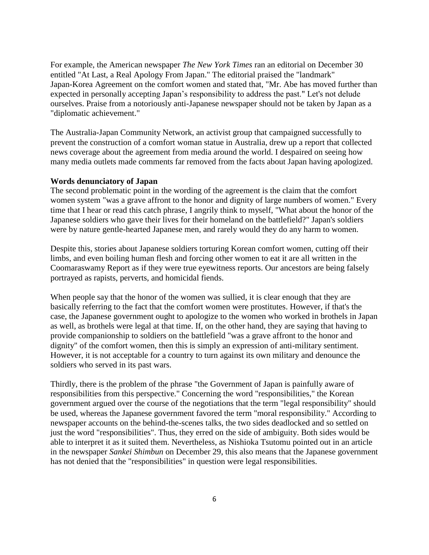For example, the American newspaper *The New York Times* ran an editorial on December 30 entitled "At Last, a Real Apology From Japan." The editorial praised the "landmark" Japan-Korea Agreement on the comfort women and stated that, "Mr. Abe has moved further than expected in personally accepting Japan's responsibility to address the past." Let's not delude ourselves. Praise from a notoriously anti-Japanese newspaper should not be taken by Japan as a "diplomatic achievement."

The Australia-Japan Community Network, an activist group that campaigned successfully to prevent the construction of a comfort woman statue in Australia, drew up a report that collected news coverage about the agreement from media around the world. I despaired on seeing how many media outlets made comments far removed from the facts about Japan having apologized.

#### **Words denunciatory of Japan**

The second problematic point in the wording of the agreement is the claim that the comfort women system "was a grave affront to the honor and dignity of large numbers of women." Every time that I hear or read this catch phrase, I angrily think to myself, "What about the honor of the Japanese soldiers who gave their lives for their homeland on the battlefield?" Japan's soldiers were by nature gentle-hearted Japanese men, and rarely would they do any harm to women.

Despite this, stories about Japanese soldiers torturing Korean comfort women, cutting off their limbs, and even boiling human flesh and forcing other women to eat it are all written in the Coomaraswamy Report as if they were true eyewitness reports. Our ancestors are being falsely portrayed as rapists, perverts, and homicidal fiends.

When people say that the honor of the women was sullied, it is clear enough that they are basically referring to the fact that the comfort women were prostitutes. However, if that's the case, the Japanese government ought to apologize to the women who worked in brothels in Japan as well, as brothels were legal at that time. If, on the other hand, they are saying that having to provide companionship to soldiers on the battlefield "was a grave affront to the honor and dignity" of the comfort women, then this is simply an expression of anti-military sentiment. However, it is not acceptable for a country to turn against its own military and denounce the soldiers who served in its past wars.

Thirdly, there is the problem of the phrase "the Government of Japan is painfully aware of responsibilities from this perspective." Concerning the word "responsibilities," the Korean government argued over the course of the negotiations that the term "legal responsibility" should be used, whereas the Japanese government favored the term "moral responsibility." According to newspaper accounts on the behind-the-scenes talks, the two sides deadlocked and so settled on just the word "responsibilities". Thus, they erred on the side of ambiguity. Both sides would be able to interpret it as it suited them. Nevertheless, as Nishioka Tsutomu pointed out in an article in the newspaper *Sankei Shimbun* on December 29, this also means that the Japanese government has not denied that the "responsibilities" in question were legal responsibilities.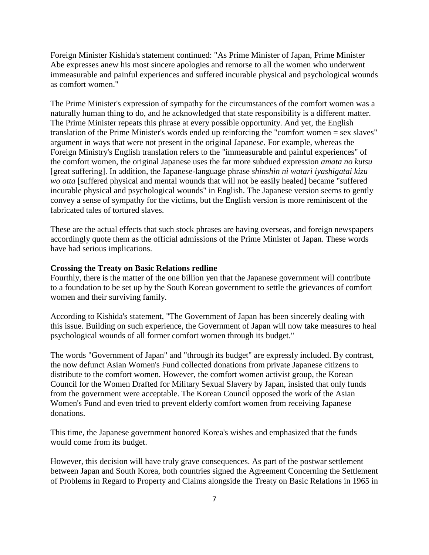Foreign Minister Kishida's statement continued: "As Prime Minister of Japan, Prime Minister Abe expresses anew his most sincere apologies and remorse to all the women who underwent immeasurable and painful experiences and suffered incurable physical and psychological wounds as comfort women."

The Prime Minister's expression of sympathy for the circumstances of the comfort women was a naturally human thing to do, and he acknowledged that state responsibility is a different matter. The Prime Minister repeats this phrase at every possible opportunity. And yet, the English translation of the Prime Minister's words ended up reinforcing the "comfort women = sex slaves" argument in ways that were not present in the original Japanese. For example, whereas the Foreign Ministry's English translation refers to the "immeasurable and painful experiences" of the comfort women, the original Japanese uses the far more subdued expression *amata no kutsu* [great suffering]. In addition, the Japanese-language phrase *shinshin ni watari iyashigatai kizu wo otta* [suffered physical and mental wounds that will not be easily healed] became "suffered incurable physical and psychological wounds" in English. The Japanese version seems to gently convey a sense of sympathy for the victims, but the English version is more reminiscent of the fabricated tales of tortured slaves.

These are the actual effects that such stock phrases are having overseas, and foreign newspapers accordingly quote them as the official admissions of the Prime Minister of Japan. These words have had serious implications.

#### **Crossing the Treaty on Basic Relations redline**

Fourthly, there is the matter of the one billion yen that the Japanese government will contribute to a foundation to be set up by the South Korean government to settle the grievances of comfort women and their surviving family.

According to Kishida's statement, "The Government of Japan has been sincerely dealing with this issue. Building on such experience, the Government of Japan will now take measures to heal psychological wounds of all former comfort women through its budget."

The words "Government of Japan" and "through its budget" are expressly included. By contrast, the now defunct Asian Women's Fund collected donations from private Japanese citizens to distribute to the comfort women. However, the comfort women activist group, the Korean Council for the Women Drafted for Military Sexual Slavery by Japan, insisted that only funds from the government were acceptable. The Korean Council opposed the work of the Asian Women's Fund and even tried to prevent elderly comfort women from receiving Japanese donations.

This time, the Japanese government honored Korea's wishes and emphasized that the funds would come from its budget.

However, this decision will have truly grave consequences. As part of the postwar settlement between Japan and South Korea, both countries signed the Agreement Concerning the Settlement of Problems in Regard to Property and Claims alongside the Treaty on Basic Relations in 1965 in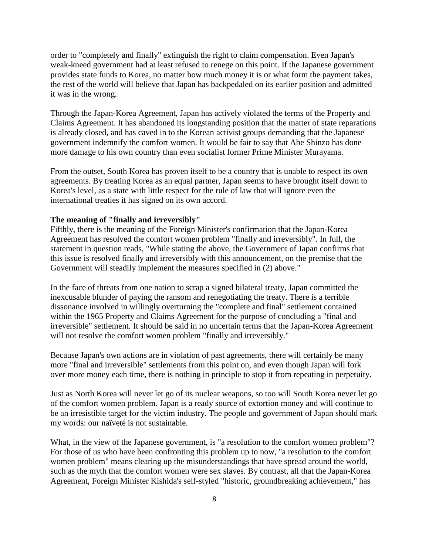order to "completely and finally" extinguish the right to claim compensation. Even Japan's weak-kneed government had at least refused to renege on this point. If the Japanese government provides state funds to Korea, no matter how much money it is or what form the payment takes, the rest of the world will believe that Japan has backpedaled on its earlier position and admitted it was in the wrong.

Through the Japan-Korea Agreement, Japan has actively violated the terms of the Property and Claims Agreement. It has abandoned its longstanding position that the matter of state reparations is already closed, and has caved in to the Korean activist groups demanding that the Japanese government indemnify the comfort women. It would be fair to say that Abe Shinzo has done more damage to his own country than even socialist former Prime Minister Murayama.

From the outset, South Korea has proven itself to be a country that is unable to respect its own agreements. By treating Korea as an equal partner, Japan seems to have brought itself down to Korea's level, as a state with little respect for the rule of law that will ignore even the international treaties it has signed on its own accord.

## **The meaning of "finally and irreversibly"**

Fifthly, there is the meaning of the Foreign Minister's confirmation that the Japan-Korea Agreement has resolved the comfort women problem "finally and irreversibly". In full, the statement in question reads, "While stating the above, the Government of Japan confirms that this issue is resolved finally and irreversibly with this announcement, on the premise that the Government will steadily implement the measures specified in (2) above."

In the face of threats from one nation to scrap a signed bilateral treaty, Japan committed the inexcusable blunder of paying the ransom and renegotiating the treaty. There is a terrible dissonance involved in willingly overturning the "complete and final" settlement contained within the 1965 Property and Claims Agreement for the purpose of concluding a "final and irreversible" settlement. It should be said in no uncertain terms that the Japan-Korea Agreement will not resolve the comfort women problem "finally and irreversibly."

Because Japan's own actions are in violation of past agreements, there will certainly be many more "final and irreversible" settlements from this point on, and even though Japan will fork over more money each time, there is nothing in principle to stop it from repeating in perpetuity.

Just as North Korea will never let go of its nuclear weapons, so too will South Korea never let go of the comfort women problem. Japan is a ready source of extortion money and will continue to be an irresistible target for the victim industry. The people and government of Japan should mark my words: our naïveté is not sustainable.

What, in the view of the Japanese government, is "a resolution to the comfort women problem"? For those of us who have been confronting this problem up to now, "a resolution to the comfort women problem" means clearing up the misunderstandings that have spread around the world, such as the myth that the comfort women were sex slaves. By contrast, all that the Japan-Korea Agreement, Foreign Minister Kishida's self-styled "historic, groundbreaking achievement," has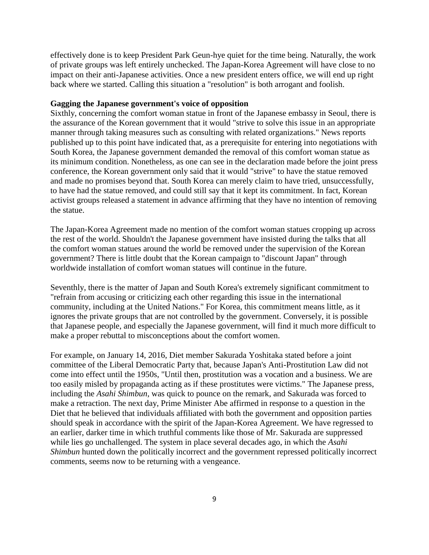effectively done is to keep President Park Geun-hye quiet for the time being. Naturally, the work of private groups was left entirely unchecked. The Japan-Korea Agreement will have close to no impact on their anti-Japanese activities. Once a new president enters office, we will end up right back where we started. Calling this situation a "resolution" is both arrogant and foolish.

## **Gagging the Japanese government's voice of opposition**

Sixthly, concerning the comfort woman statue in front of the Japanese embassy in Seoul, there is the assurance of the Korean government that it would "strive to solve this issue in an appropriate manner through taking measures such as consulting with related organizations." News reports published up to this point have indicated that, as a prerequisite for entering into negotiations with South Korea, the Japanese government demanded the removal of this comfort woman statue as its minimum condition. Nonetheless, as one can see in the declaration made before the joint press conference, the Korean government only said that it would "strive" to have the statue removed and made no promises beyond that. South Korea can merely claim to have tried, unsuccessfully, to have had the statue removed, and could still say that it kept its commitment. In fact, Korean activist groups released a statement in advance affirming that they have no intention of removing the statue.

The Japan-Korea Agreement made no mention of the comfort woman statues cropping up across the rest of the world. Shouldn't the Japanese government have insisted during the talks that all the comfort woman statues around the world be removed under the supervision of the Korean government? There is little doubt that the Korean campaign to "discount Japan" through worldwide installation of comfort woman statues will continue in the future.

Seventhly, there is the matter of Japan and South Korea's extremely significant commitment to "refrain from accusing or criticizing each other regarding this issue in the international community, including at the United Nations." For Korea, this commitment means little, as it ignores the private groups that are not controlled by the government. Conversely, it is possible that Japanese people, and especially the Japanese government, will find it much more difficult to make a proper rebuttal to misconceptions about the comfort women.

For example, on January 14, 2016, Diet member Sakurada Yoshitaka stated before a joint committee of the Liberal Democratic Party that, because Japan's Anti-Prostitution Law did not come into effect until the 1950s, "Until then, prostitution was a vocation and a business. We are too easily misled by propaganda acting as if these prostitutes were victims." The Japanese press, including the *Asahi Shimbun*, was quick to pounce on the remark, and Sakurada was forced to make a retraction. The next day, Prime Minister Abe affirmed in response to a question in the Diet that he believed that individuals affiliated with both the government and opposition parties should speak in accordance with the spirit of the Japan-Korea Agreement. We have regressed to an earlier, darker time in which truthful comments like those of Mr. Sakurada are suppressed while lies go unchallenged. The system in place several decades ago, in which the *Asahi Shimbun* hunted down the politically incorrect and the government repressed politically incorrect comments, seems now to be returning with a vengeance.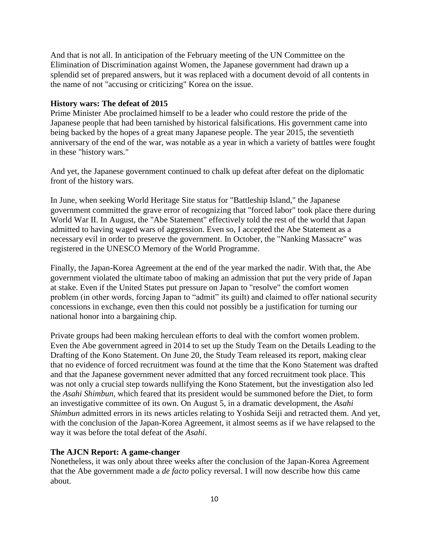And that is not all. In anticipation of the February meeting of the UN Committee on the Elimination of Discrimination against Women, the Japanese government had drawn up a splendid set of prepared answers, but it was replaced with a document devoid of all contents in the name of not "accusing or criticizing" Korea on the issue.

### **History wars: The defeat of 2015**

Prime Minister Abe proclaimed himself to be a leader who could restore the pride of the Japanese people that had been tarnished by historical falsifications. His government came into being backed by the hopes of a great many Japanese people. The year 2015, the seventieth anniversary of the end of the war, was notable as a year in which a variety of battles were fought in these "history wars."

And yet, the Japanese government continued to chalk up defeat after defeat on the diplomatic front of the history wars.

In June, when seeking World Heritage Site status for "Battleship Island," the Japanese government committed the grave error of recognizing that "forced labor" took place there during World War II. In August, the "Abe Statement" effectively told the rest of the world that Japan admitted to having waged wars of aggression. Even so, I accepted the Abe Statement as a necessary evil in order to preserve the government. In October, the "Nanking Massacre" was registered in the UNESCO Memory of the World Programme.

Finally, the Japan-Korea Agreement at the end of the year marked the nadir. With that, the Abe government violated the ultimate taboo of making an admission that put the very pride of Japan at stake. Even if the United States put pressure on Japan to "resolve" the comfort women problem (in other words, forcing Japan to "admit" its guilt) and claimed to offer national security concessions in exchange, even then this could not possibly be a justification for turning our national honor into a bargaining chip.

Private groups had been making herculean efforts to deal with the comfort women problem. Even the Abe government agreed in 2014 to set up the Study Team on the Details Leading to the Drafting of the Kono Statement. On June 20, the Study Team released its report, making clear that no evidence of forced recruitment was found at the time that the Kono Statement was drafted and that the Japanese government never admitted that any forced recruitment took place. This was not only a crucial step towards nullifying the Kono Statement, but the investigation also led the *Asahi Shimbun*, which feared that its president would be summoned before the Diet, to form an investigative committee of its own. On August 5, in a dramatic development, the *Asahi Shimbun* admitted errors in its news articles relating to Yoshida Seiji and retracted them. And yet, with the conclusion of the Japan-Korea Agreement, it almost seems as if we have relapsed to the way it was before the total defeat of the *Asahi*.

#### **The AJCN Report: A game-changer**

Nonetheless, it was only about three weeks after the conclusion of the Japan-Korea Agreement that the Abe government made a *de facto* policy reversal. I will now describe how this came about.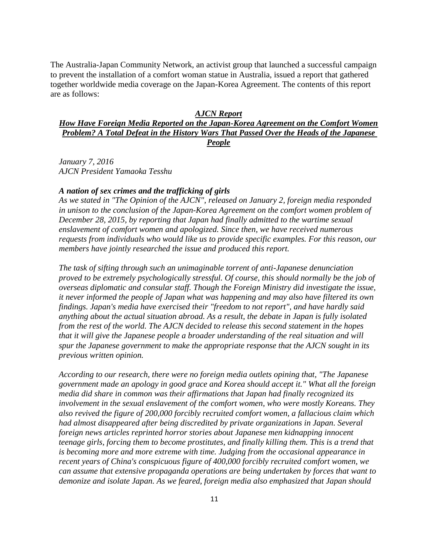The Australia-Japan Community Network, an activist group that launched a successful campaign to prevent the installation of a comfort woman statue in Australia, issued a report that gathered together worldwide media coverage on the Japan-Korea Agreement. The contents of this report are as follows:

## *AJCN Report*

## *How Have Foreign Media Reported on the Japan-Korea Agreement on the Comfort Women Problem? A Total Defeat in the History Wars That Passed Over the Heads of the Japanese People*

*January 7, 2016 AJCN President Yamaoka Tesshu*

## *A nation of sex crimes and the trafficking of girls*

*As we stated in "The Opinion of the AJCN", released on January 2, foreign media responded in unison to the conclusion of the Japan-Korea Agreement on the comfort women problem of December 28, 2015, by reporting that Japan had finally admitted to the wartime sexual enslavement of comfort women and apologized. Since then, we have received numerous requests from individuals who would like us to provide specific examples. For this reason, our members have jointly researched the issue and produced this report.*

*The task of sifting through such an unimaginable torrent of anti-Japanese denunciation proved to be extremely psychologically stressful. Of course, this should normally be the job of overseas diplomatic and consular staff. Though the Foreign Ministry did investigate the issue, it never informed the people of Japan what was happening and may also have filtered its own findings. Japan's media have exercised their "freedom to not report", and have hardly said anything about the actual situation abroad. As a result, the debate in Japan is fully isolated from the rest of the world. The AJCN decided to release this second statement in the hopes that it will give the Japanese people a broader understanding of the real situation and will spur the Japanese government to make the appropriate response that the AJCN sought in its previous written opinion.*

*According to our research, there were no foreign media outlets opining that, "The Japanese government made an apology in good grace and Korea should accept it." What all the foreign media did share in common was their affirmations that Japan had finally recognized its involvement in the sexual enslavement of the comfort women, who were mostly Koreans. They also revived the figure of 200,000 forcibly recruited comfort women, a fallacious claim which had almost disappeared after being discredited by private organizations in Japan. Several foreign news articles reprinted horror stories about Japanese men kidnapping innocent teenage girls, forcing them to become prostitutes, and finally killing them. This is a trend that is becoming more and more extreme with time. Judging from the occasional appearance in recent years of China's conspicuous figure of 400,000 forcibly recruited comfort women, we can assume that extensive propaganda operations are being undertaken by forces that want to demonize and isolate Japan. As we feared, foreign media also emphasized that Japan should*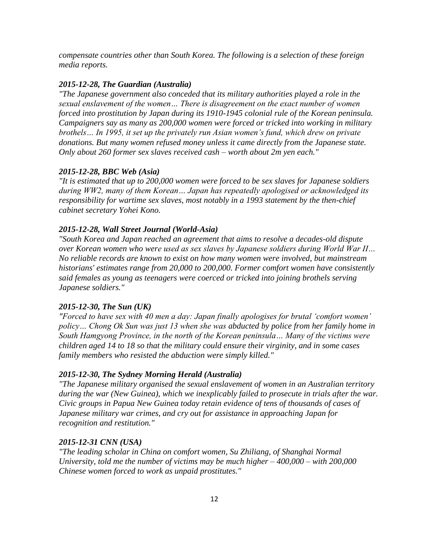*compensate countries other than South Korea. The following is a selection of these foreign media reports.*

## *2015-12-28, The Guardian (Australia)*

*"The Japanese government also conceded that its military authorities played a role in the sexual enslavement of the women… There is disagreement on the exact number of women forced into prostitution by Japan during its 1910-1945 colonial rule of the Korean peninsula. Campaigners say as many as 200,000 women were forced or tricked into working in military brothels… In 1995, it set up the privately run Asian women's fund, which drew on private donations. But many women refused money unless it came directly from the Japanese state. Only about 260 former sex slaves received cash – worth about 2m yen each."*

## *2015-12-28, BBC Web (Asia)*

*"It is estimated that up to 200,000 women were forced to be sex slaves for Japanese soldiers during WW2, many of them Korean… Japan has repeatedly apologised or acknowledged its responsibility for wartime sex slaves, most notably in a 1993 statement by the then-chief cabinet secretary Yohei Kono.*

#### *2015-12-28, Wall Street Journal (World-Asia)*

*"South Korea and Japan reached an agreement that aims to resolve a decades-old dispute over Korean women who were used as sex slaves by Japanese soldiers during World War II… No reliable records are known to exist on how many women were involved, but mainstream historians' estimates range from 20,000 to 200,000. Former comfort women have consistently said females as young as teenagers were coerced or tricked into joining brothels serving Japanese soldiers."*

#### *2015-12-30, The Sun (UK)*

*"Forced to have sex with 40 men a day: Japan finally apologises for brutal 'comfort women' policy… Chong Ok Sun was just 13 when she was abducted by police from her family home in South Hamgyong Province, in the north of the Korean peninsula… Many of the victims were children aged 14 to 18 so that the military could ensure their virginity, and in some cases family members who resisted the abduction were simply killed."*

## *2015-12-30, The Sydney Morning Herald (Australia)*

*"The Japanese military organised the sexual enslavement of women in an Australian territory during the war (New Guinea), which we inexplicably failed to prosecute in trials after the war. Civic groups in Papua New Guinea today retain evidence of tens of thousands of cases of Japanese military war crimes, and cry out for assistance in approaching Japan for recognition and restitution."*

#### *2015-12-31 CNN (USA)*

*"The leading scholar in China on comfort women, Su Zhiliang, of Shanghai Normal University, told me the number of victims may be much higher – 400,000 – with 200,000 Chinese women forced to work as unpaid prostitutes."*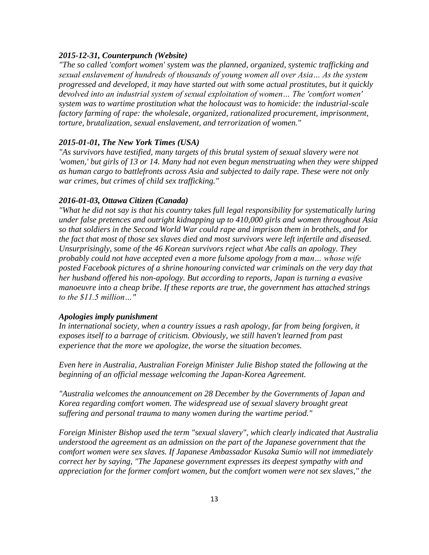## *2015-12-31, Counterpunch (Website)*

*"The so called 'comfort women' system was the planned, organized, systemic trafficking and sexual enslavement of hundreds of thousands of young women all over Asia… As the system progressed and developed, it may have started out with some actual prostitutes, but it quickly devolved into an industrial system of sexual exploitation of women… The 'comfort women' system was to wartime prostitution what the holocaust was to homicide: the industrial-scale factory farming of rape: the wholesale, organized, rationalized procurement, imprisonment, torture, brutalization, sexual enslavement, and terrorization of women."*

## *2015-01-01, The New York Times (USA)*

*"As survivors have testified, many targets of this brutal system of sexual slavery were not 'women,' but girls of 13 or 14. Many had not even begun menstruating when they were shipped as human cargo to battlefronts across Asia and subjected to daily rape. These were not only war crimes, but crimes of child sex trafficking."*

#### *2016-01-03, Ottawa Citizen (Canada)*

*"What he did not say is that his country takes full legal responsibility for systematically luring under false pretences and outright kidnapping up to 410,000 girls and women throughout Asia so that soldiers in the Second World War could rape and imprison them in brothels, and for the fact that most of those sex slaves died and most survivors were left infertile and diseased. Unsurprisingly, some of the 46 Korean survivors reject what Abe calls an apology. They probably could not have accepted even a more fulsome apology from a man… whose wife posted Facebook pictures of a shrine honouring convicted war criminals on the very day that her husband offered his non-apology. But according to reports, Japan is turning a evasive manoeuvre into a cheap bribe. If these reports are true, the government has attached strings to the \$11.5 million…"*

### *Apologies imply punishment*

*In international society, when a country issues a rash apology, far from being forgiven, it exposes itself to a barrage of criticism. Obviously, we still haven't learned from past experience that the more we apologize, the worse the situation becomes.*

*Even here in Australia, Australian Foreign Minister Julie Bishop stated the following at the beginning of an official message welcoming the Japan-Korea Agreement.*

*"Australia welcomes the announcement on 28 December by the Governments of Japan and Korea regarding comfort women. The widespread use of sexual slavery brought great suffering and personal trauma to many women during the wartime period."*

*Foreign Minister Bishop used the term "sexual slavery", which clearly indicated that Australia understood the agreement as an admission on the part of the Japanese government that the comfort women were sex slaves. If Japanese Ambassador Kusaka Sumio will not immediately correct her by saying, "The Japanese government expresses its deepest sympathy with and appreciation for the former comfort women, but the comfort women were not sex slaves," the*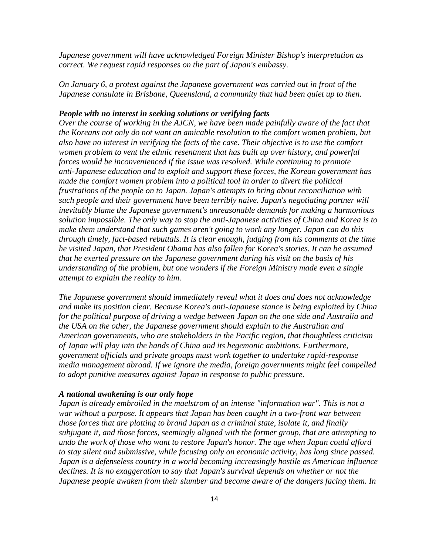*Japanese government will have acknowledged Foreign Minister Bishop's interpretation as correct. We request rapid responses on the part of Japan's embassy.*

*On January 6, a protest against the Japanese government was carried out in front of the Japanese consulate in Brisbane, Queensland, a community that had been quiet up to then.*

#### *People with no interest in seeking solutions or verifying facts*

*Over the course of working in the AJCN, we have been made painfully aware of the fact that the Koreans not only do not want an amicable resolution to the comfort women problem, but also have no interest in verifying the facts of the case. Their objective is to use the comfort women problem to vent the ethnic resentment that has built up over history, and powerful forces would be inconvenienced if the issue was resolved. While continuing to promote anti-Japanese education and to exploit and support these forces, the Korean government has made the comfort women problem into a political tool in order to divert the political frustrations of the people on to Japan. Japan's attempts to bring about reconciliation with such people and their government have been terribly naive. Japan's negotiating partner will inevitably blame the Japanese government's unreasonable demands for making a harmonious solution impossible. The only way to stop the anti-Japanese activities of China and Korea is to make them understand that such games aren't going to work any longer. Japan can do this through timely, fact-based rebuttals. It is clear enough, judging from his comments at the time he visited Japan, that President Obama has also fallen for Korea's stories. It can be assumed that he exerted pressure on the Japanese government during his visit on the basis of his understanding of the problem, but one wonders if the Foreign Ministry made even a single attempt to explain the reality to him.*

*The Japanese government should immediately reveal what it does and does not acknowledge and make its position clear. Because Korea's anti-Japanese stance is being exploited by China for the political purpose of driving a wedge between Japan on the one side and Australia and the USA on the other, the Japanese government should explain to the Australian and American governments, who are stakeholders in the Pacific region, that thoughtless criticism of Japan will play into the hands of China and its hegemonic ambitions. Furthermore, government officials and private groups must work together to undertake rapid-response media management abroad. If we ignore the media, foreign governments might feel compelled to adopt punitive measures against Japan in response to public pressure.* 

#### *A national awakening is our only hope*

*Japan is already embroiled in the maelstrom of an intense "information war". This is not a war without a purpose. It appears that Japan has been caught in a two-front war between those forces that are plotting to brand Japan as a criminal state, isolate it, and finally subjugate it, and those forces, seemingly aligned with the former group, that are attempting to undo the work of those who want to restore Japan's honor. The age when Japan could afford to stay silent and submissive, while focusing only on economic activity, has long since passed. Japan is a defenseless country in a world becoming increasingly hostile as American influence declines. It is no exaggeration to say that Japan's survival depends on whether or not the Japanese people awaken from their slumber and become aware of the dangers facing them. In*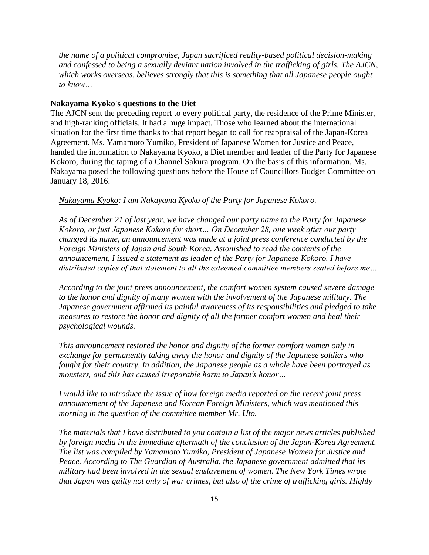*the name of a political compromise, Japan sacrificed reality-based political decision-making and confessed to being a sexually deviant nation involved in the trafficking of girls. The AJCN, which works overseas, believes strongly that this is something that all Japanese people ought to know…*

## **Nakayama Kyoko's questions to the Diet**

The AJCN sent the preceding report to every political party, the residence of the Prime Minister, and high-ranking officials. It had a huge impact. Those who learned about the international situation for the first time thanks to that report began to call for reappraisal of the Japan-Korea Agreement. Ms. Yamamoto Yumiko, President of Japanese Women for Justice and Peace, handed the information to Nakayama Kyoko, a Diet member and leader of the Party for Japanese Kokoro, during the taping of a Channel Sakura program. On the basis of this information, Ms. Nakayama posed the following questions before the House of Councillors Budget Committee on January 18, 2016.

## *Nakayama Kyoko: I am Nakayama Kyoko of the Party for Japanese Kokoro.*

*As of December 21 of last year, we have changed our party name to the Party for Japanese Kokoro, or just Japanese Kokoro for short… On December 28, one week after our party changed its name, an announcement was made at a joint press conference conducted by the Foreign Ministers of Japan and South Korea. Astonished to read the contents of the announcement, I issued a statement as leader of the Party for Japanese Kokoro. I have distributed copies of that statement to all the esteemed committee members seated before me…*

*According to the joint press announcement, the comfort women system caused severe damage to the honor and dignity of many women with the involvement of the Japanese military. The Japanese government affirmed its painful awareness of its responsibilities and pledged to take measures to restore the honor and dignity of all the former comfort women and heal their psychological wounds.*

*This announcement restored the honor and dignity of the former comfort women only in exchange for permanently taking away the honor and dignity of the Japanese soldiers who fought for their country. In addition, the Japanese people as a whole have been portrayed as monsters, and this has caused irreparable harm to Japan's honor…*

*I would like to introduce the issue of how foreign media reported on the recent joint press announcement of the Japanese and Korean Foreign Ministers, which was mentioned this morning in the question of the committee member Mr. Uto.*

*The materials that I have distributed to you contain a list of the major news articles published by foreign media in the immediate aftermath of the conclusion of the Japan-Korea Agreement. The list was compiled by Yamamoto Yumiko, President of Japanese Women for Justice and Peace. According to The Guardian of Australia, the Japanese government admitted that its military had been involved in the sexual enslavement of women. The New York Times wrote that Japan was guilty not only of war crimes, but also of the crime of trafficking girls. Highly*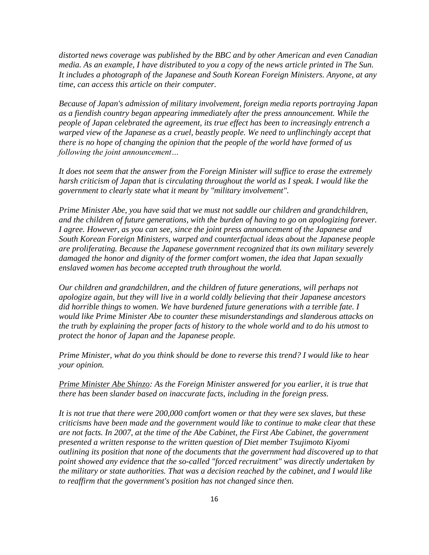*distorted news coverage was published by the BBC and by other American and even Canadian media. As an example, I have distributed to you a copy of the news article printed in The Sun. It includes a photograph of the Japanese and South Korean Foreign Ministers. Anyone, at any time, can access this article on their computer.* 

*Because of Japan's admission of military involvement, foreign media reports portraying Japan as a fiendish country began appearing immediately after the press announcement. While the people of Japan celebrated the agreement, its true effect has been to increasingly entrench a warped view of the Japanese as a cruel, beastly people. We need to unflinchingly accept that there is no hope of changing the opinion that the people of the world have formed of us following the joint announcement…*

*It does not seem that the answer from the Foreign Minister will suffice to erase the extremely harsh criticism of Japan that is circulating throughout the world as I speak. I would like the government to clearly state what it meant by "military involvement".*

*Prime Minister Abe, you have said that we must not saddle our children and grandchildren, and the children of future generations, with the burden of having to go on apologizing forever. I agree. However, as you can see, since the joint press announcement of the Japanese and South Korean Foreign Ministers, warped and counterfactual ideas about the Japanese people are proliferating. Because the Japanese government recognized that its own military severely damaged the honor and dignity of the former comfort women, the idea that Japan sexually enslaved women has become accepted truth throughout the world.*

*Our children and grandchildren, and the children of future generations, will perhaps not apologize again, but they will live in a world coldly believing that their Japanese ancestors did horrible things to women. We have burdened future generations with a terrible fate. I would like Prime Minister Abe to counter these misunderstandings and slanderous attacks on the truth by explaining the proper facts of history to the whole world and to do his utmost to protect the honor of Japan and the Japanese people.*

*Prime Minister, what do you think should be done to reverse this trend? I would like to hear your opinion.*

*Prime Minister Abe Shinzo: As the Foreign Minister answered for you earlier, it is true that there has been slander based on inaccurate facts, including in the foreign press.*

*It is not true that there were 200,000 comfort women or that they were sex slaves, but these criticisms have been made and the government would like to continue to make clear that these are not facts. In 2007, at the time of the Abe Cabinet, the First Abe Cabinet, the government presented a written response to the written question of Diet member Tsujimoto Kiyomi outlining its position that none of the documents that the government had discovered up to that point showed any evidence that the so-called "forced recruitment" was directly undertaken by the military or state authorities. That was a decision reached by the cabinet, and I would like to reaffirm that the government's position has not changed since then.*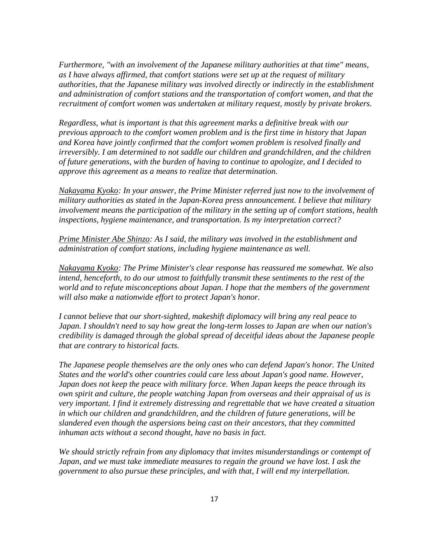*Furthermore, "with an involvement of the Japanese military authorities at that time" means, as I have always affirmed, that comfort stations were set up at the request of military authorities, that the Japanese military was involved directly or indirectly in the establishment and administration of comfort stations and the transportation of comfort women, and that the recruitment of comfort women was undertaken at military request, mostly by private brokers.*

*Regardless, what is important is that this agreement marks a definitive break with our previous approach to the comfort women problem and is the first time in history that Japan and Korea have jointly confirmed that the comfort women problem is resolved finally and irreversibly. I am determined to not saddle our children and grandchildren, and the children of future generations, with the burden of having to continue to apologize, and I decided to approve this agreement as a means to realize that determination.*

*Nakayama Kyoko: In your answer, the Prime Minister referred just now to the involvement of military authorities as stated in the Japan-Korea press announcement. I believe that military involvement means the participation of the military in the setting up of comfort stations, health inspections, hygiene maintenance, and transportation. Is my interpretation correct?*

*Prime Minister Abe Shinzo: As I said, the military was involved in the establishment and administration of comfort stations, including hygiene maintenance as well.*

*Nakayama Kyoko: The Prime Minister's clear response has reassured me somewhat. We also intend, henceforth, to do our utmost to faithfully transmit these sentiments to the rest of the world and to refute misconceptions about Japan. I hope that the members of the government will also make a nationwide effort to protect Japan's honor.*

*I cannot believe that our short-sighted, makeshift diplomacy will bring any real peace to Japan. I shouldn't need to say how great the long-term losses to Japan are when our nation's credibility is damaged through the global spread of deceitful ideas about the Japanese people that are contrary to historical facts.*

*The Japanese people themselves are the only ones who can defend Japan's honor. The United States and the world's other countries could care less about Japan's good name. However, Japan does not keep the peace with military force. When Japan keeps the peace through its own spirit and culture, the people watching Japan from overseas and their appraisal of us is very important. I find it extremely distressing and regrettable that we have created a situation in which our children and grandchildren, and the children of future generations, will be slandered even though the aspersions being cast on their ancestors, that they committed inhuman acts without a second thought, have no basis in fact.*

*We should strictly refrain from any diplomacy that invites misunderstandings or contempt of Japan, and we must take immediate measures to regain the ground we have lost. I ask the government to also pursue these principles, and with that, I will end my interpellation.*